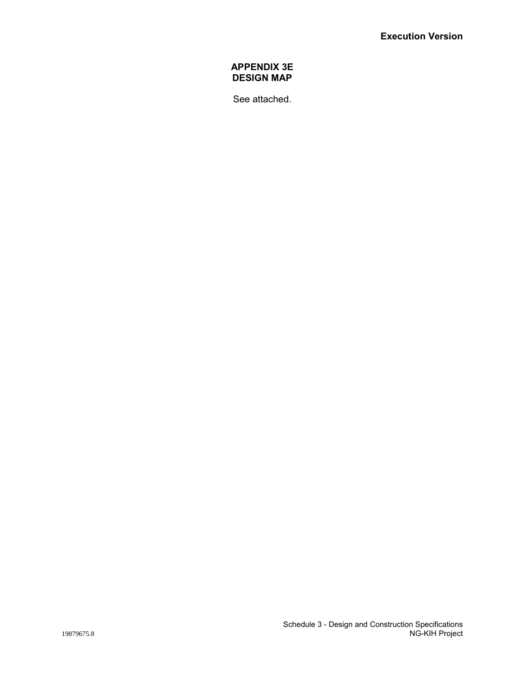## **APPENDIX 3E DESIGN MAP**

See attached.